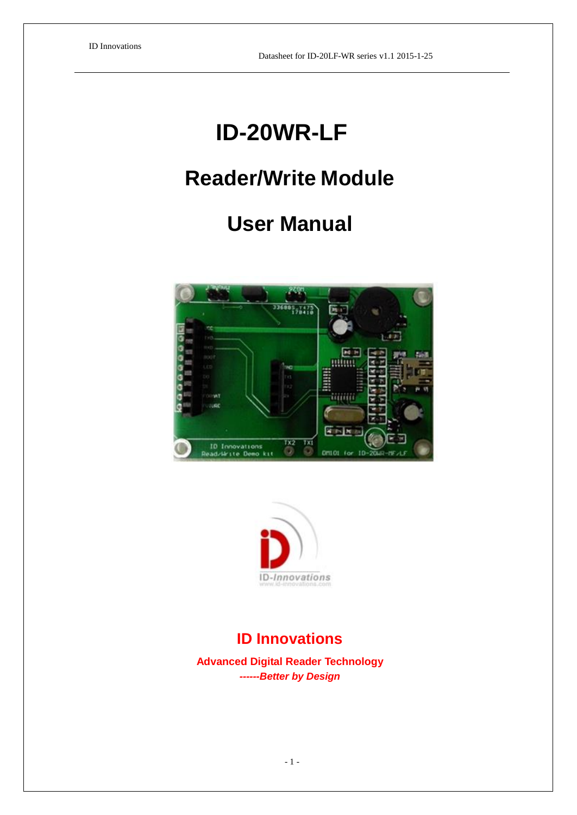# **ID-20WR-LF**

## **Reader/Write Module**

## **User Manual**





### **ID Innovations**

**Advanced Digital Reader Technology** *------Better by Design*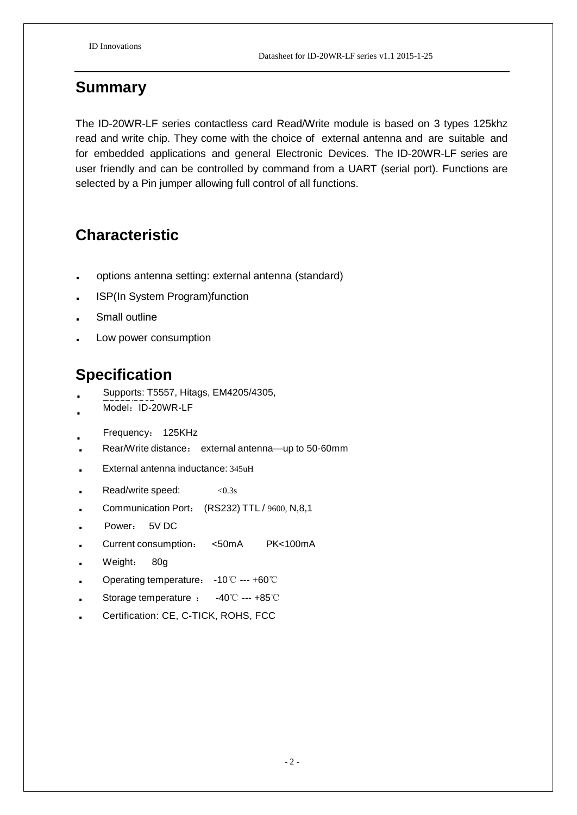#### **Summary**

The ID-20WR-LF series contactless card Read/Write module is based on 3 types 125khz read and write chip. They come with the choice of external antenna and are suitable and for embedded applications and general Electronic Devices. The ID-20WR-LF series are user friendly and can be controlled by command from a UART (serial port). Functions are selected by a Pin jumper allowing full control of all functions.

#### **Characteristic**

- **.** options antenna setting: external antenna (standard)
- **.** ISP(In System Program)function
- **.** Small outline
- **.** Low power consumption

#### **Specification**

- **.** Supports: T5557, Hitags, EM4205/4305,
- Model: ID-20WR-LF **.**
- **.** Frequency: 125KHz
- **.** Rear/Write distance: external antenna—up to 50-60mm
- **.** External antenna inductance: 345uH
- Read/write speed:  $< 0.3$ s
- **.** Communication Port: (RS232) TTL / 9600, N,8,1
- **.** Power: 5V DC
- **.** Current consumption: <50mA PK<100mA
- **.** Weight: 80g
- **.** Operating temperature: -10℃ --- +60℃
- **.** Storage temperature : -40℃ --- +85℃
- **.** Certification: CE, C-TICK, ROHS, FCC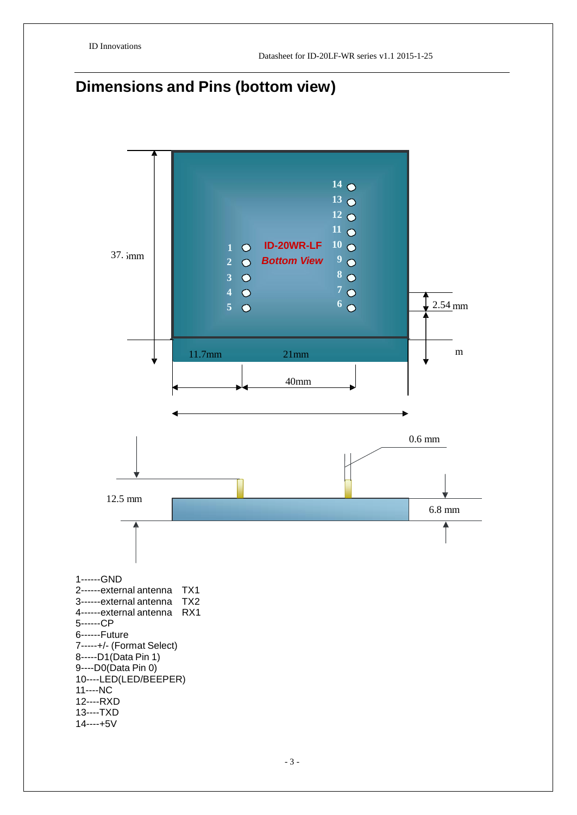### **Dimensions and Pins (bottom view)**